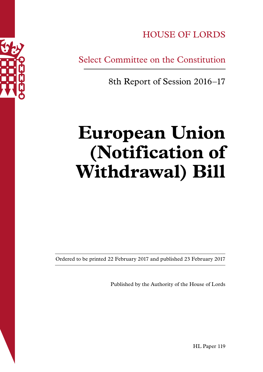

HOUSE OF LORDS

Select Committee on the Constitution

8th Report of Session 2016–17

# **European Union (Notification of Withdrawal) Bill**

Ordered to be printed 22 February 2017 and published 23 February 2017

Published by the Authority of the House of Lords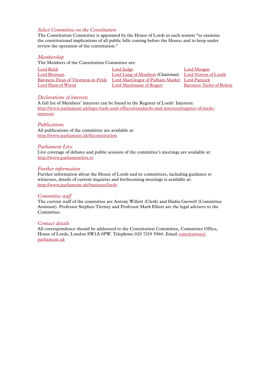# *Select Committee on the Constitution*

The Constitution Committee is appointed by the House of Lords in each session "to examine the constitutional implications of all public bills coming before the House; and to keep under review the operation of the constitution."

#### *Membership*

The Members of the Constitution Committee are:

| Lord Beith                         | Lord Judge                                           | Lord Morgan                      |
|------------------------------------|------------------------------------------------------|----------------------------------|
| Lord Brennan                       | Lord Lang of Monkton (Chairman) Lord Norton of Louth |                                  |
| Baroness Dean of Thornton-le-Fylde | Lord MacGregor of Pulham Market Lord Pannick         |                                  |
| Lord Hunt of Wirral                | Lord Maclennan of Rogart                             | <b>Baroness Taylor of Bolton</b> |

# *Declarations of interests*

A full list of Members' interests can be found in the Register of Lords' Interests: [http://www.parliament.uk/mps-lords-and-offices/standards-and-interests/register-of-lords](http://www.parliament.uk/mps-lords-and-offices/standards-and-interests/register-of-lords-interests)[interests](http://www.parliament.uk/mps-lords-and-offices/standards-and-interests/register-of-lords-interests)

#### *Publications*

All publications of the committee are available at: <http://www.parliament.uk/hlconstitution>

#### *Parliament Live*

Live coverage of debates and public sessions of the committee's meetings are available at: h[ttp://www.parliamentlive.tv](http://www.parliamentlive.tv)

#### *Further information*

Further information about the House of Lords and its committees, including guidance to witnesses, details of current inquiries and forthcoming meetings is available at: <http://www.parliament.uk/business/lords>

#### *Committee staff*

The current staff of the committee are Antony Willott (Clerk) and Hadia Garwell (Committee Assistant). Professor Stephen Tierney and Professor Mark Elliott are the legal advisers to the Committee.

#### *Contact details*

All correspondence should be addressed to the Constitution Committee, Committee Office, House of Lords, London SW1A 0PW. Telephone 020 7219 5960. Email [constitution@](mailto:constitution@parliament.uk) [parliament.uk](mailto:constitution@parliament.uk)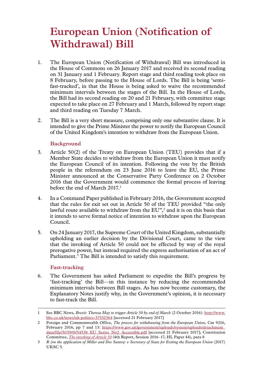# **European Union (Notification of Withdrawal) Bill**

- 1. The European Union (Notification of Withdrawal) Bill was introduced in the House of Commons on 26 January 2017 and received its second reading on 31 January and 1 February. Report stage and third reading took place on 8 February, before passing to the House of Lords. The Bill is being 'semifast-tracked', in that the House is being asked to waive the recommended minimum intervals between the stages of the Bill. In the House of Lords, the Bill had its second reading on 20 and 21 February, with committee stage expected to take place on 27 February and 1 March, followed by report stage and third reading on Tuesday 7 March.
- 2. The Bill is a very short measure, comprising only one substantive clause. It is intended to give the Prime Minister the power to notify the European Council of the United Kingdom's intention to withdraw from the European Union.

# **Background**

- 3. Article 50(2) of the Treaty on European Union (TEU) provides that if a Member State decides to withdraw from the European Union it must notify the European Council of its intention. Following the vote by the British people in the referendum on 23 June 2016 to leave the EU, the Prime Minister announced at the Conservative Party Conference on 2 October 2016 that the Government would commence the formal process of leaving before the end of March 2017.<sup>1</sup>
- 4. In a Command Paper published in February 2016, the Government accepted that the rules for exit set out in Article 50 of the TEU provided "the only lawful route available to withdraw from the  $EU$ <sup>2</sup>, and it is on this basis that it intends to serve formal notice of intention to withdraw upon the European Council.
- 5. On 24 January 2017, the Supreme Court of the United Kingdom, substantially upholding an earlier decision by the Divisional Court, came to the view that the invoking of Article 50 could not be effected by way of the royal prerogative power, but instead required the express authorisation of an act of Parliament.<sup>3</sup> The Bill is intended to satisfy this requirement.

# **Fast-tracking**

6. The Government has asked Parliament to expedite the Bill's progress by 'fast-tracking' the Bill—in this instance by reducing the recommended minimum intervals between Bill stages. As has now become customary, the Explanatory Notes justify why, in the Government's opinion, it is necessary to fast-track the Bill.

<sup>1</sup> See BBC News, *Brexit: Theresa May to trigger Article 50 by end of March* (2 October 2016): [http://www.](http://www.bbc.co.uk/news/uk-politics-37532364) [bbc.co.uk/news/uk-politics-37532364](http://www.bbc.co.uk/news/uk-politics-37532364) [accessed 21 February 2017]

<sup>2</sup> Foreign and Commonwealth Office, *The process for withdrawing from the European Union*, Cm 9216, February 2016, pp 7 and 13: [https://www.gov.uk/government/uploads/system/uploads/attachment\\_](https://www.gov.uk/government/uploads/system/uploads/attachment_data/file/503908/54538_EU_Series_No2_Accessible.pdf) data/file/503908/54538 EU Series No2 Accessible.pdf [accessed 21 February 2017]; Constitution Committee, *[The invoking of Article 50](https://www.publications.parliament.uk/pa/ld201617/ldselect/ldconst/44/4402.htm)* (4th Report, Session 2016–17, HL Paper 44), para 8

<sup>3</sup> *R (on the application of Miller and Dos Santos) v Secretary of State for Exiting the European Union* (2017) UKSC 5.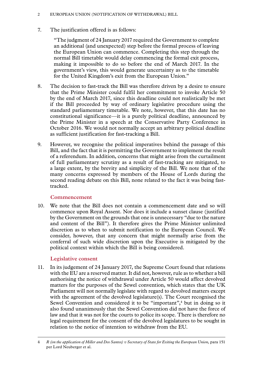## 2 European Union (Notification of Withdrawal) Bill

7. The justification offered is as follows:

"The judgment of 24 January 2017 required the Government to complete an additional (and unexpected) step before the formal process of leaving the European Union can commence. Completing this step through the normal Bill timetable would delay commencing the formal exit process, making it impossible to do so before the end of March 2017. In the government's view, this would generate uncertainty as to the timetable for the United Kingdom's exit from the European Union."

- 8. The decision to fast-track the Bill was therefore driven by a desire to ensure that the Prime Minister could fulfil her commitment to invoke Article 50 by the end of March 2017, since this deadline could not realistically be met if the Bill proceeded by way of ordinary legislative procedure using the standard parliamentary timetable. We note, however, that this date has no constitutional significance—it is a purely political deadline, announced by the Prime Minister in a speech at the Conservative Party Conference in October 2016. We would not normally accept an arbitrary political deadline as sufficient justification for fast-tracking a Bill.
- 9. However, we recognise the political imperatives behind the passage of this Bill, and the fact that it is permitting the Government to implement the result of a referendum. In addition, concerns that might arise from the curtailment of full parliamentary scrutiny as a result of fast-tracking are mitigated, to a large extent, by the brevity and simplicity of the Bill. We note that of the many concerns expressed by members of the House of Lords during the second reading debate on this Bill, none related to the fact it was being fasttracked.

# **Commencement**

10. We note that the Bill does not contain a commencement date and so will commence upon Royal Assent. Nor does it include a sunset clause (justified by the Government on the grounds that one is unnecessary "due to the nature and content of the Bill"). It therefore gives the Prime Minister unlimited discretion as to when to submit notification to the European Council. We consider, however, that any concern that might normally arise from the conferral of such wide discretion upon the Executive is mitigated by the political context within which the Bill is being considered.

# **Legislative consent**

11. In its judgement of 24 January 2017, the Supreme Court found that relations with the EU are a reserved matter. It did not, however, rule as to whether a bill authorising the notice of withdrawal under Article 50 would affect devolved matters for the purposes of the Sewel convention, which states that the UK Parliament will not normally legislate with regard to devolved matters except with the agreement of the devolved legislature(s). The Court recognised the Sewel Convention and considered it to be "important",<sup>4</sup> but in doing so it also found unanimously that the Sewel Convention did not have the force of law and that it was not for the courts to police its scope. There is therefore no legal requirement for the consent of the devolved legislatures to be sought in relation to the notice of intention to withdraw from the EU.

<sup>4</sup> *R (on the application of Miller and Dos Santos) v Secretary of State for Exiting the European Union,* para 151 per Lord Neuberger et al.